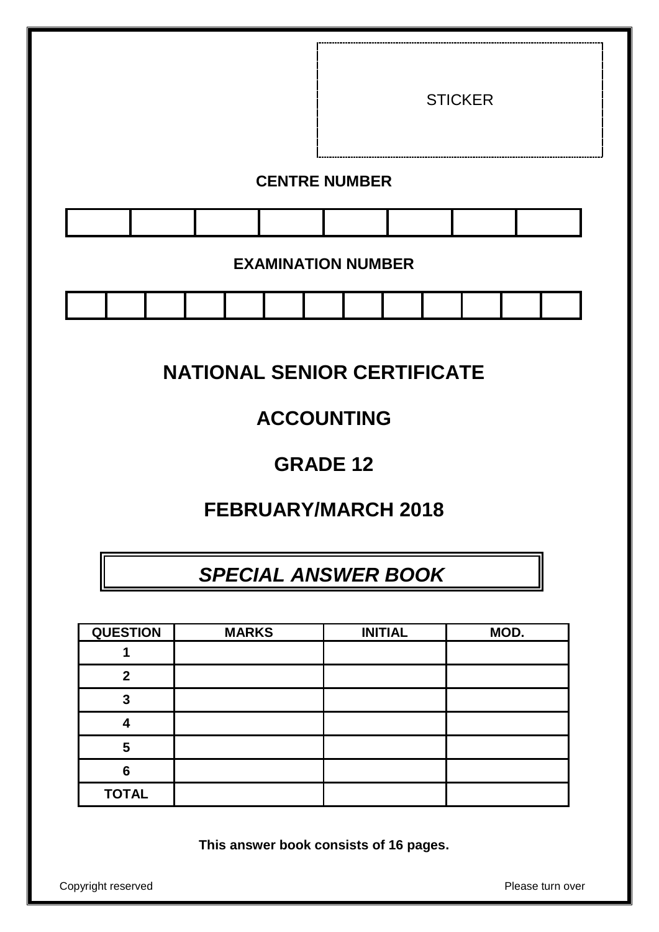

# **NATIONAL SENIOR CERTIFICATE**

# **ACCOUNTING**

# **GRADE 12**

# **FEBRUARY/MARCH 2018**

# *SPECIAL ANSWER BOOK*

| <b>QUESTION</b> | <b>MARKS</b> | <b>INITIAL</b> | MOD. |
|-----------------|--------------|----------------|------|
|                 |              |                |      |
| 2               |              |                |      |
| 3               |              |                |      |
|                 |              |                |      |
| 5               |              |                |      |
| 6               |              |                |      |
| <b>TOTAL</b>    |              |                |      |

**This answer book consists of 16 pages.**

Copyright reserved **Please** turn over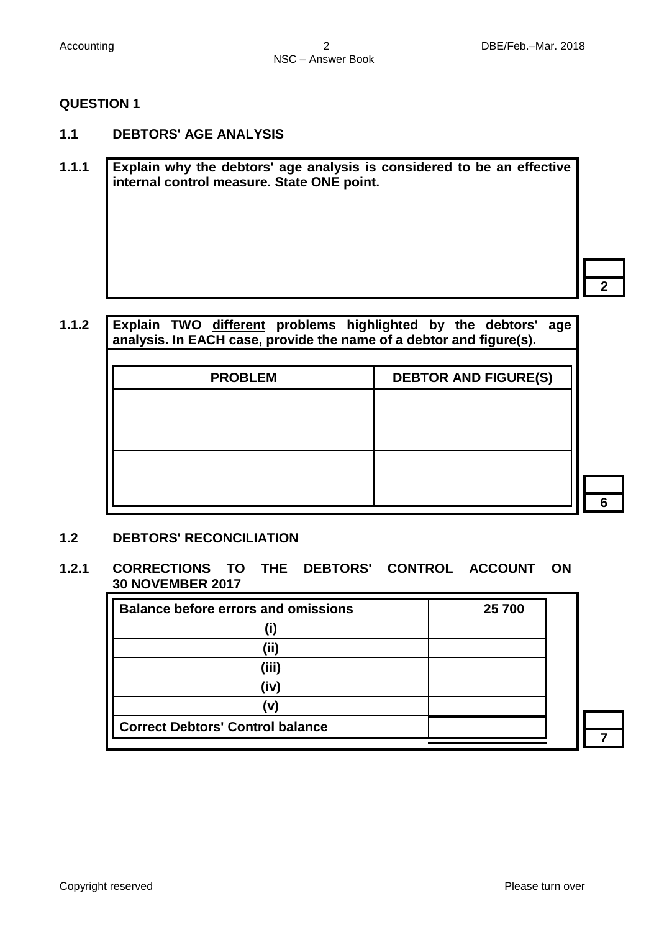- **1.1 DEBTORS' AGE ANALYSIS**
- **1.1.1 Explain why the debtors' age analysis is considered to be an effective internal control measure. State ONE point.**

**1.1.2 Explain TWO different problems highlighted by the debtors' age analysis. In EACH case, provide the name of a debtor and figure(s). PROBLEM DEBTOR AND FIGURE(S)**

#### **1.2 DEBTORS' RECONCILIATION**

#### **1.2.1 CORRECTIONS TO THE DEBTORS' CONTROL ACCOUNT ON 30 NOVEMBER 2017**

| <b>Balance before errors and omissions</b> | 25 700 |
|--------------------------------------------|--------|
|                                            |        |
| (ii)                                       |        |
| (iii)                                      |        |
| (iv)                                       |        |
| (v)                                        |        |
| <b>Correct Debtors' Control balance</b>    |        |
|                                            |        |

**2**

**6**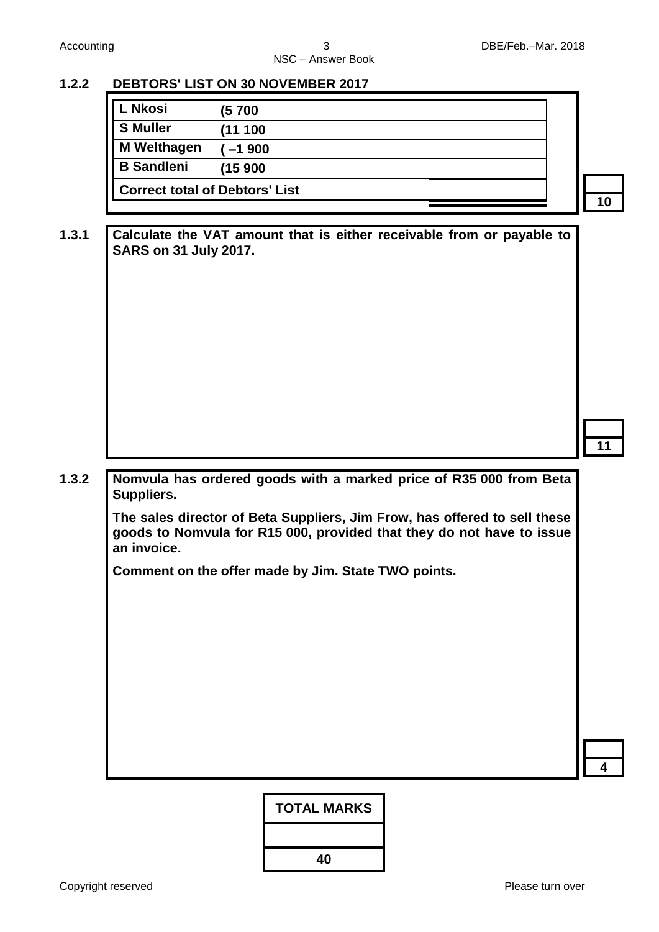**1.3.1 Calculate the VAT amount that is either receivable from or payable to** 

# **1.2.2 DEBTORS' LIST ON 30 NOVEMBER 2017**

**SARS on 31 July 2017.**

| <b>L Nkosi</b>                        | (5 700   |  |
|---------------------------------------|----------|--|
| <b>S</b> Muller                       | (11 100  |  |
| <b>M</b> Welthagen                    | $-1$ 900 |  |
| <b>B</b> Sandleni                     | (15 900  |  |
| <b>Correct total of Debtors' List</b> |          |  |

**10**

- 
- **11**

**1.3.2 Nomvula has ordered goods with a marked price of R35 000 from Beta Suppliers.** 

> **The sales director of Beta Suppliers, Jim Frow, has offered to sell these goods to Nomvula for R15 000, provided that they do not have to issue an invoice.**

**Comment on the offer made by Jim. State TWO points.**

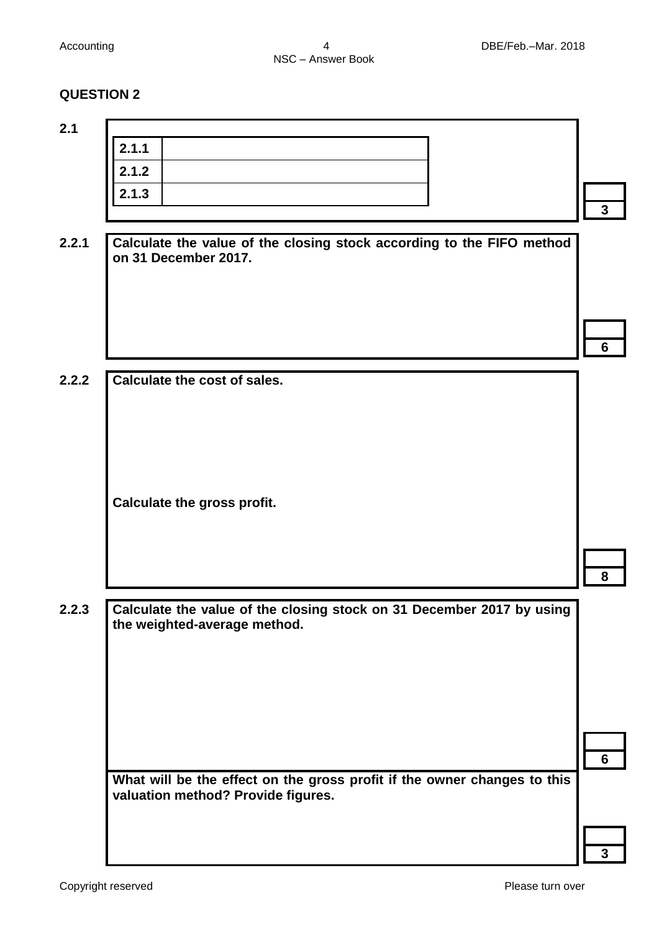| 2.1.1                                                                                                          |  |
|----------------------------------------------------------------------------------------------------------------|--|
| 2.1.2                                                                                                          |  |
| 2.1.3                                                                                                          |  |
|                                                                                                                |  |
| Calculate the value of the closing stock according to the FIFO method<br>on 31 December 2017.                  |  |
|                                                                                                                |  |
|                                                                                                                |  |
|                                                                                                                |  |
| Calculate the cost of sales.                                                                                   |  |
|                                                                                                                |  |
|                                                                                                                |  |
|                                                                                                                |  |
|                                                                                                                |  |
| Calculate the gross profit.                                                                                    |  |
|                                                                                                                |  |
|                                                                                                                |  |
|                                                                                                                |  |
|                                                                                                                |  |
| Calculate the value of the closing stock on 31 December 2017 by using<br>the weighted-average method.          |  |
|                                                                                                                |  |
|                                                                                                                |  |
|                                                                                                                |  |
|                                                                                                                |  |
|                                                                                                                |  |
|                                                                                                                |  |
| What will be the effect on the gross profit if the owner changes to this<br>valuation method? Provide figures. |  |
|                                                                                                                |  |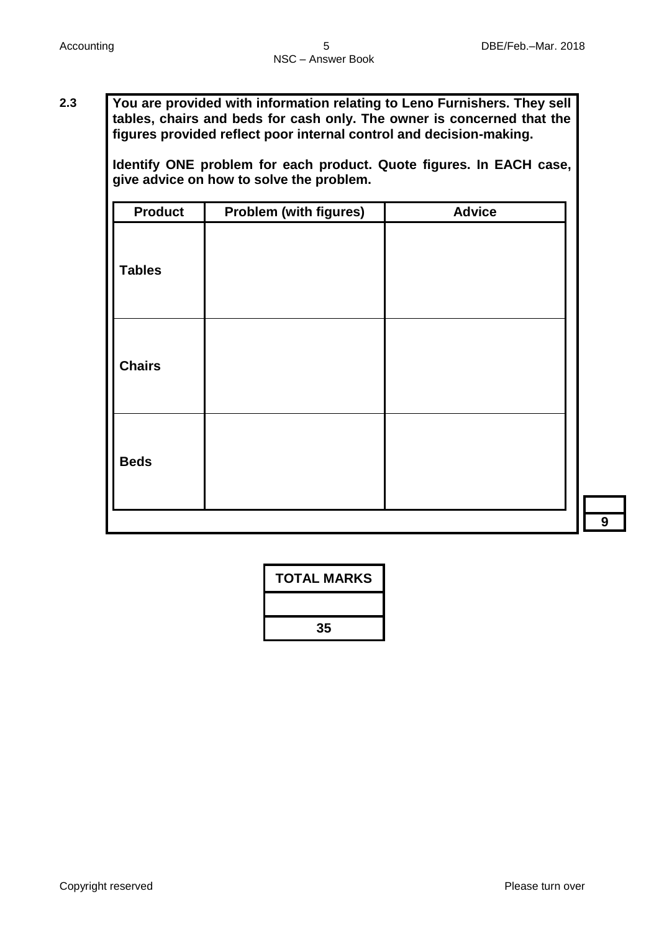**2.3 You are provided with information relating to Leno Furnishers. They sell tables, chairs and beds for cash only. The owner is concerned that the figures provided reflect poor internal control and decision-making.** 

> **Identify ONE problem for each product. Quote figures. In EACH case, give advice on how to solve the problem.**

| <b>Product</b> | <b>Problem (with figures)</b> | <b>Advice</b> |
|----------------|-------------------------------|---------------|
| <b>Tables</b>  |                               |               |
| <b>Chairs</b>  |                               |               |
| <b>Beds</b>    |                               |               |

| <b>TOTAL MARKS</b> |
|--------------------|
|                    |
| 35                 |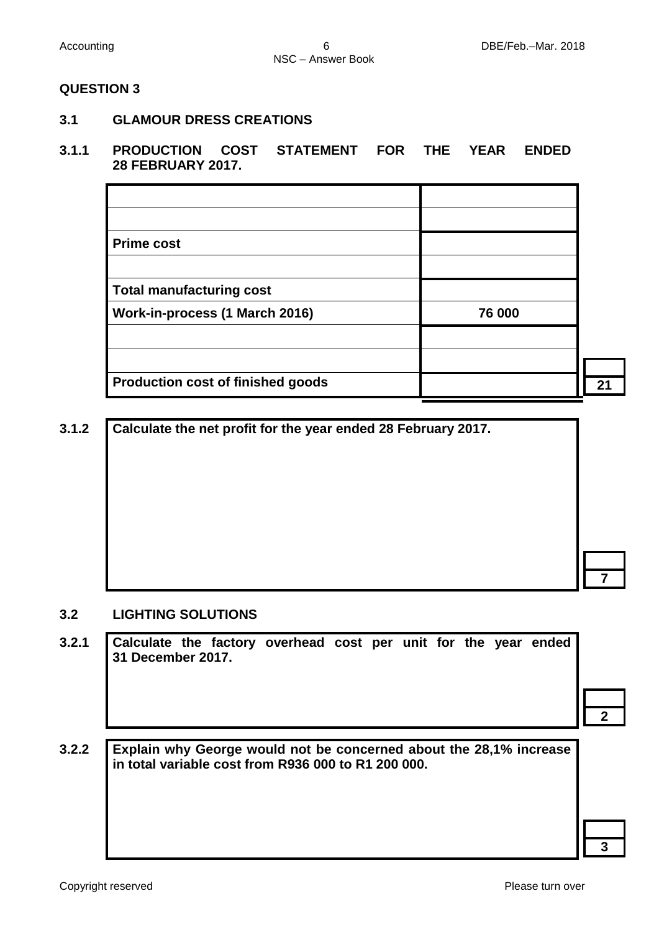**3.1 GLAMOUR DRESS CREATIONS**

#### **3.1.1 PRODUCTION COST STATEMENT FOR THE YEAR ENDED 28 FEBRUARY 2017.**

| <b>Prime cost</b>                        |        |     |
|------------------------------------------|--------|-----|
|                                          |        |     |
| <b>Total manufacturing cost</b>          |        |     |
| Work-in-process (1 March 2016)           | 76 000 |     |
|                                          |        |     |
|                                          |        |     |
| <b>Production cost of finished goods</b> |        | יכי |

**3.1.2 Calculate the net profit for the year ended 28 February 2017.**

### **3.2 LIGHTING SOLUTIONS**

| Calculate the factory overhead cost per unit for the year ended<br>31 December 2017. |  |  |  |  |  |
|--------------------------------------------------------------------------------------|--|--|--|--|--|
|                                                                                      |  |  |  |  |  |
|                                                                                      |  |  |  |  |  |

**7**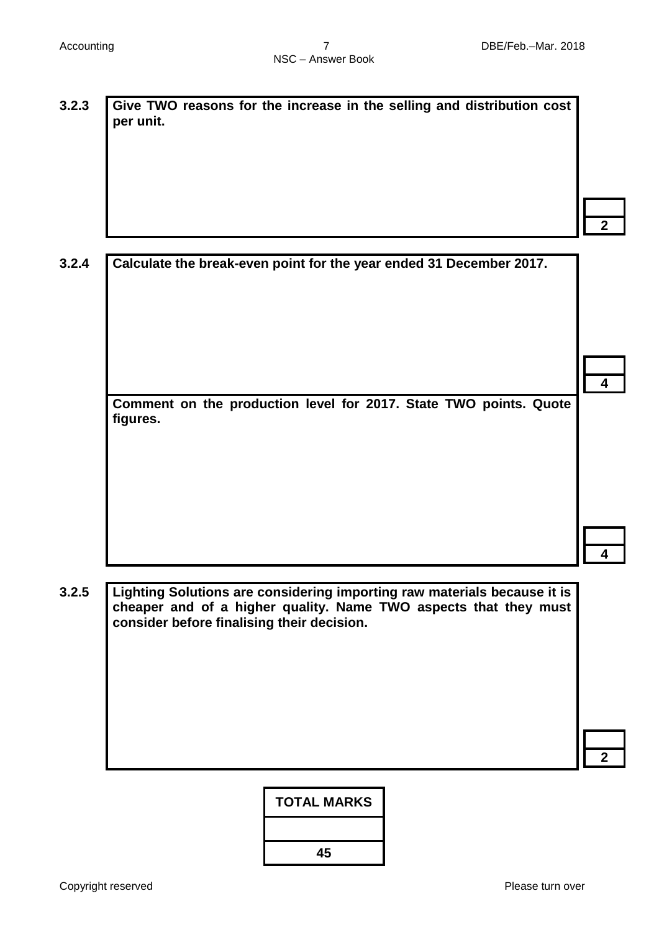**per unit.**

**3.2.3 Give TWO reasons for the increase in the selling and distribution cost** 

**2**

**4**

**4**

| 3.2.4   Calculate the break-even point for the year ended 31 December 2017. |
|-----------------------------------------------------------------------------|

**Comment on the production level for 2017. State TWO points. Quote figures.**

**3.2.5 Lighting Solutions are considering importing raw materials because it is cheaper and of a higher quality. Name TWO aspects that they must consider before finalising their decision.**

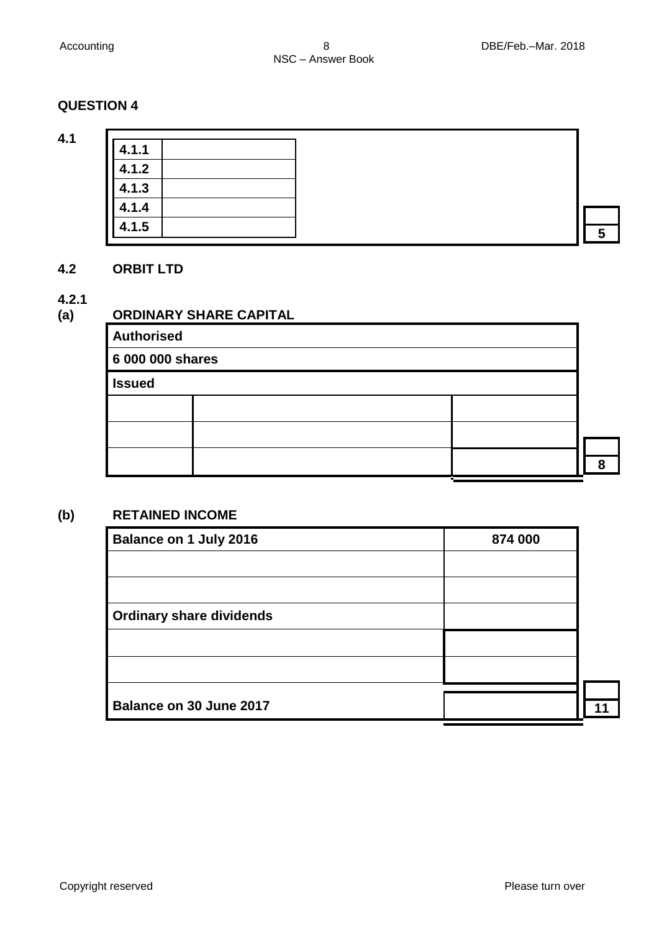**4.1**

**4.1.1 4.1.2 4.1.3 4.1.4 4.1.5 <sup>5</sup>**

### **4.2 ORBIT LTD**

#### **4.2.1**

# **(a) ORDINARY SHARE CAPITAL**

| <b>Authorised</b> |  |   |  |  |  |  |
|-------------------|--|---|--|--|--|--|
| 6 000 000 shares  |  |   |  |  |  |  |
| <b>Issued</b>     |  |   |  |  |  |  |
|                   |  |   |  |  |  |  |
|                   |  |   |  |  |  |  |
|                   |  | О |  |  |  |  |
|                   |  |   |  |  |  |  |

### **(b) RETAINED INCOME**

| Balance on 1 July 2016          | 874 000 |  |
|---------------------------------|---------|--|
|                                 |         |  |
|                                 |         |  |
| <b>Ordinary share dividends</b> |         |  |
|                                 |         |  |
|                                 |         |  |
|                                 |         |  |
| Balance on 30 June 2017         |         |  |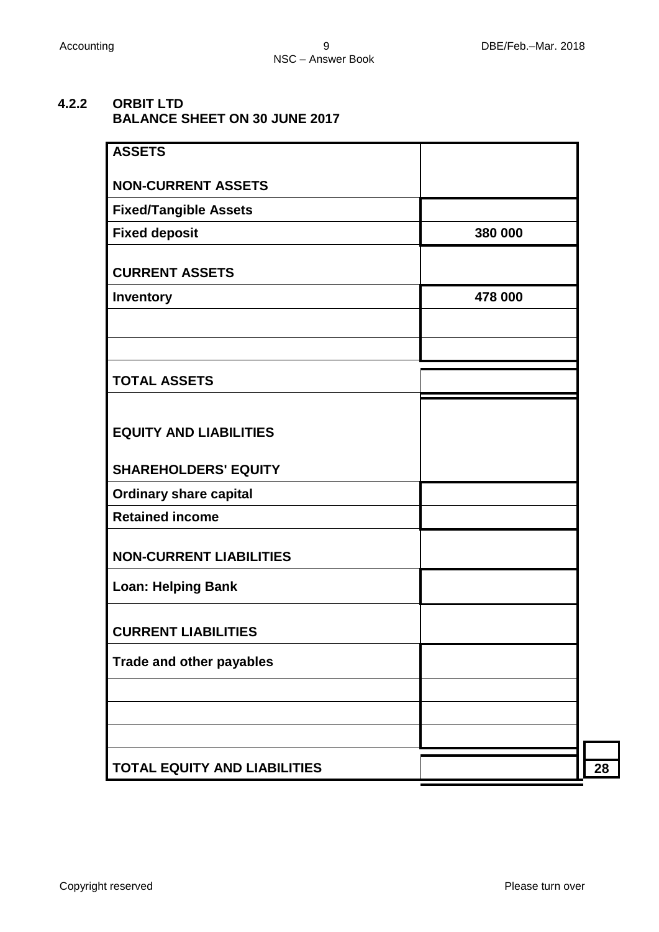## **4.2.2 ORBIT LTD BALANCE SHEET ON 30 JUNE 2017**

| <b>ASSETS</b>                       |         |
|-------------------------------------|---------|
| <b>NON-CURRENT ASSETS</b>           |         |
| <b>Fixed/Tangible Assets</b>        |         |
| <b>Fixed deposit</b>                | 380 000 |
| <b>CURRENT ASSETS</b>               |         |
| <b>Inventory</b>                    | 478 000 |
|                                     |         |
|                                     |         |
| <b>TOTAL ASSETS</b>                 |         |
| <b>EQUITY AND LIABILITIES</b>       |         |
| <b>SHAREHOLDERS' EQUITY</b>         |         |
| <b>Ordinary share capital</b>       |         |
| <b>Retained income</b>              |         |
| <b>NON-CURRENT LIABILITIES</b>      |         |
| <b>Loan: Helping Bank</b>           |         |
| <b>CURRENT LIABILITIES</b>          |         |
| <b>Trade and other payables</b>     |         |
|                                     |         |
|                                     |         |
|                                     |         |
| <b>TOTAL EQUITY AND LIABILITIES</b> |         |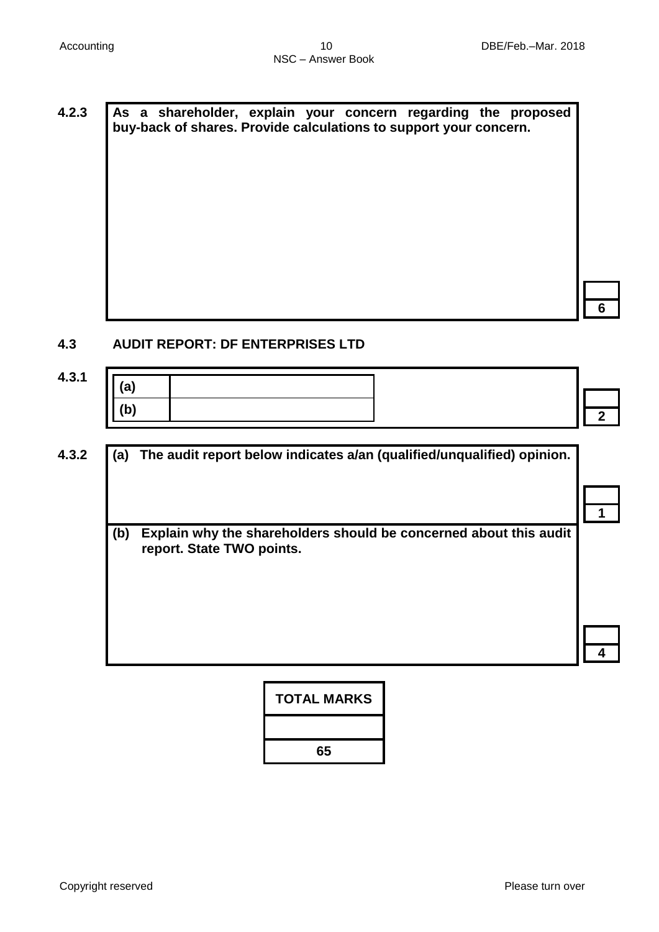**4.2.3 As a shareholder, explain your concern regarding the proposed buy-back of shares. Provide calculations to support your concern.**

**6**

#### **4.3 AUDIT REPORT: DF ENTERPRISES LTD**

| 4.3.1 | ≀∼ັ                                   |  |
|-------|---------------------------------------|--|
|       | $\overline{\phantom{a}}$<br>ـו<br>. . |  |

| (a) | The audit report below indicates a/an (qualified/unqualified) opinion.                         |
|-----|------------------------------------------------------------------------------------------------|
|     |                                                                                                |
| (b) | Explain why the shareholders should be concerned about this audit<br>report. State TWO points. |
|     |                                                                                                |
|     |                                                                                                |

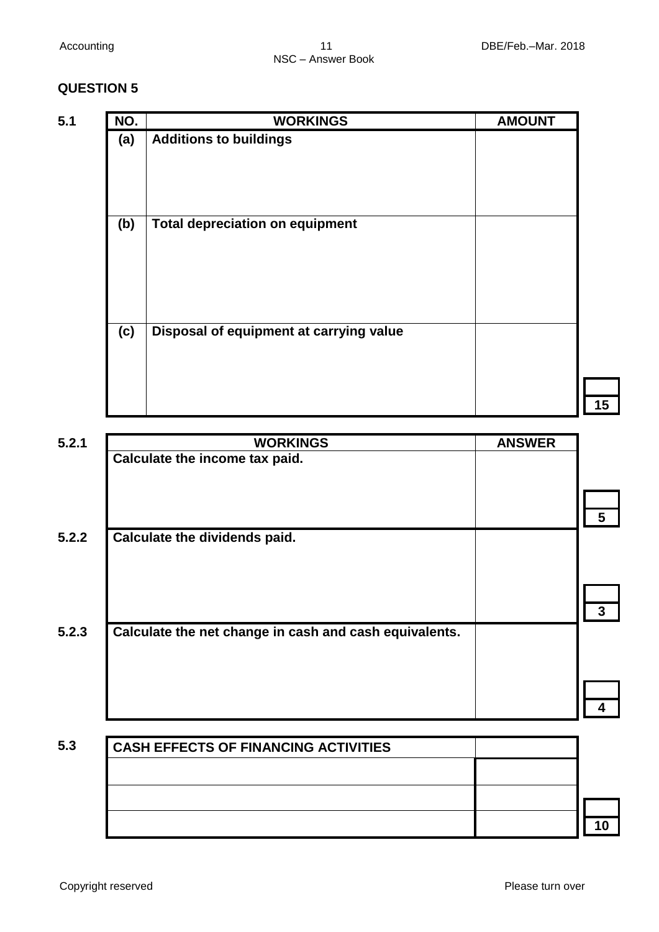| 5.1 | NO. | <b>WORKINGS</b>                         | <b>AMOUNT</b> |
|-----|-----|-----------------------------------------|---------------|
|     | (a) | <b>Additions to buildings</b>           |               |
|     | (b) | <b>Total depreciation on equipment</b>  |               |
|     | (c) | Disposal of equipment at carrying value |               |

| 5.2.1 | <b>WORKINGS</b>                                        | <b>ANSWER</b> |   |
|-------|--------------------------------------------------------|---------------|---|
|       | Calculate the income tax paid.                         |               |   |
|       |                                                        |               |   |
|       |                                                        |               |   |
| 5.2.2 | Calculate the dividends paid.                          |               | 5 |
|       |                                                        |               |   |
|       |                                                        |               |   |
|       |                                                        |               |   |
|       |                                                        |               | 3 |
| 5.2.3 | Calculate the net change in cash and cash equivalents. |               |   |
|       |                                                        |               |   |
|       |                                                        |               |   |
|       |                                                        |               |   |

| <b>CASH EFFECTS OF FINANCING ACTIVITIES</b> |  |
|---------------------------------------------|--|
|                                             |  |
|                                             |  |
|                                             |  |
|                                             |  |
|                                             |  |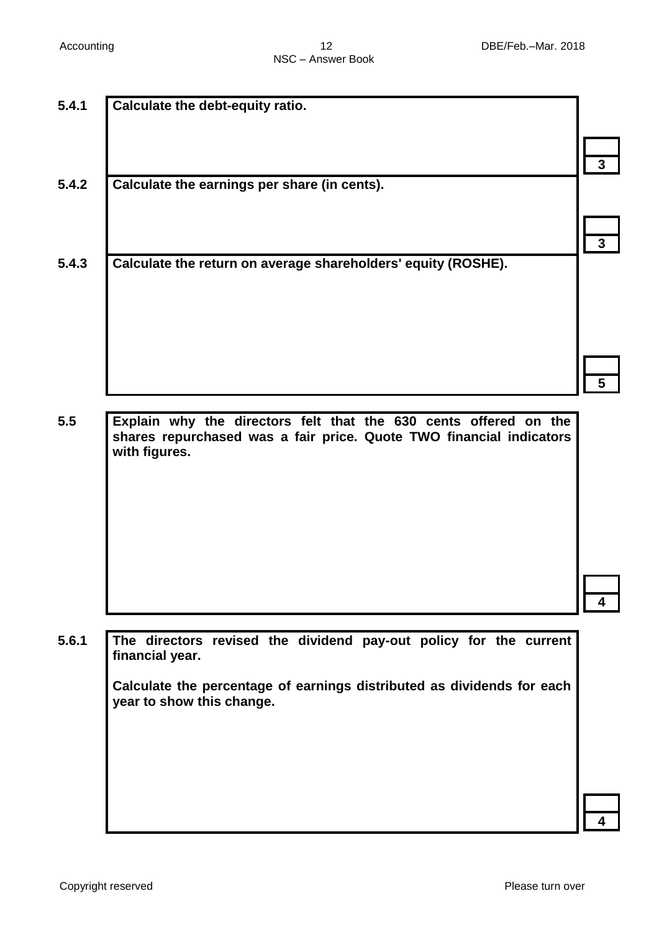| 5.4.1 | Calculate the debt-equity ratio.                                       |   |
|-------|------------------------------------------------------------------------|---|
|       |                                                                        |   |
|       |                                                                        |   |
|       |                                                                        | 3 |
| 5.4.2 | Calculate the earnings per share (in cents).                           |   |
|       |                                                                        |   |
|       |                                                                        |   |
|       |                                                                        | 3 |
|       |                                                                        |   |
| 5.4.3 | Calculate the return on average shareholders' equity (ROSHE).          |   |
|       |                                                                        |   |
|       |                                                                        |   |
|       |                                                                        |   |
|       |                                                                        |   |
|       |                                                                        |   |
|       |                                                                        |   |
|       |                                                                        |   |
| 5.5   | Explain why the directors felt that the 630 cents offered on the       |   |
|       | shares repurchased was a fair price. Quote TWO financial indicators    |   |
|       | with figures.                                                          |   |
|       |                                                                        |   |
|       |                                                                        |   |
|       |                                                                        |   |
|       |                                                                        |   |
|       |                                                                        |   |
|       |                                                                        |   |
|       |                                                                        |   |
|       |                                                                        |   |
|       |                                                                        |   |
| 5.6.1 | The directors revised the dividend pay-out policy for the current      |   |
|       | financial year.                                                        |   |
|       |                                                                        |   |
|       | Calculate the percentage of earnings distributed as dividends for each |   |
|       | year to show this change.                                              |   |
|       |                                                                        |   |
|       |                                                                        |   |
|       |                                                                        |   |
|       |                                                                        |   |
|       |                                                                        |   |
|       |                                                                        |   |
|       |                                                                        |   |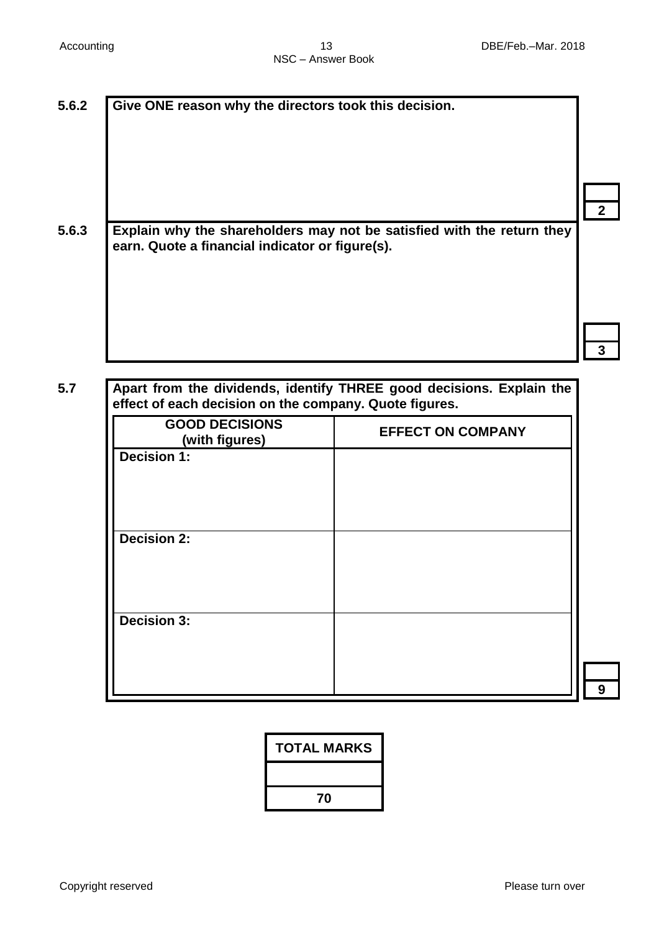| Give ONE reason why the directors took this decision.                        |                                                                        |
|------------------------------------------------------------------------------|------------------------------------------------------------------------|
|                                                                              |                                                                        |
|                                                                              |                                                                        |
| earn. Quote a financial indicator or figure(s).                              | Explain why the shareholders may not be satisfied with the return they |
|                                                                              |                                                                        |
|                                                                              |                                                                        |
|                                                                              |                                                                        |
|                                                                              |                                                                        |
|                                                                              | Apart from the dividends, identify THREE good decisions. Explain the   |
| <b>GOOD DECISIONS</b><br>(with figures)                                      | <b>EFFECT ON COMPANY</b>                                               |
| <b>Decision 1:</b>                                                           |                                                                        |
|                                                                              |                                                                        |
|                                                                              |                                                                        |
| effect of each decision on the company. Quote figures.<br><b>Decision 2:</b> |                                                                        |
|                                                                              |                                                                        |

| <b>TOTAL MARKS</b> |
|--------------------|
|                    |
| 70                 |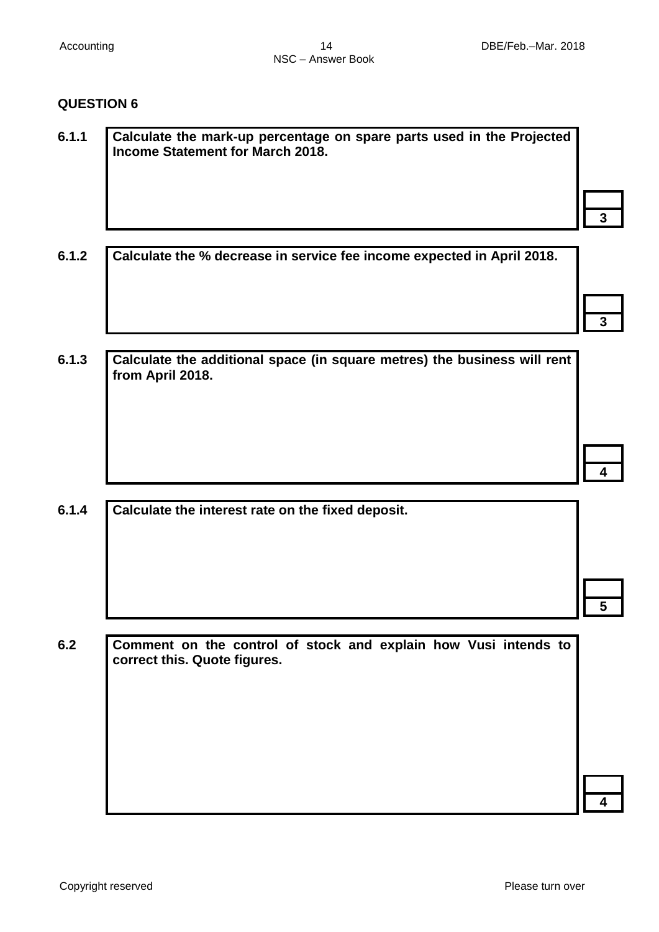┥

┥

 $\overline{\phantom{a}}$ 

# **QUESTION 6**

| 6.1.1 | Calculate the mark-up percentage on spare parts used in the Projected<br><b>Income Statement for March 2018.</b> |              |
|-------|------------------------------------------------------------------------------------------------------------------|--------------|
|       |                                                                                                                  | 3            |
| 6.1.2 | Calculate the % decrease in service fee income expected in April 2018.                                           |              |
|       |                                                                                                                  | $\mathbf{3}$ |
| 6.1.3 | Calculate the additional space (in square metres) the business will rent<br>from April 2018.                     |              |
|       |                                                                                                                  |              |
|       |                                                                                                                  |              |
| 6.1.4 | Calculate the interest rate on the fixed deposit.                                                                |              |
|       |                                                                                                                  |              |
|       |                                                                                                                  |              |
| 6.2   | Comment on the control of stock and explain how Vusi intends to<br>correct this. Quote figures.                  |              |
|       |                                                                                                                  |              |
|       |                                                                                                                  |              |
|       |                                                                                                                  |              |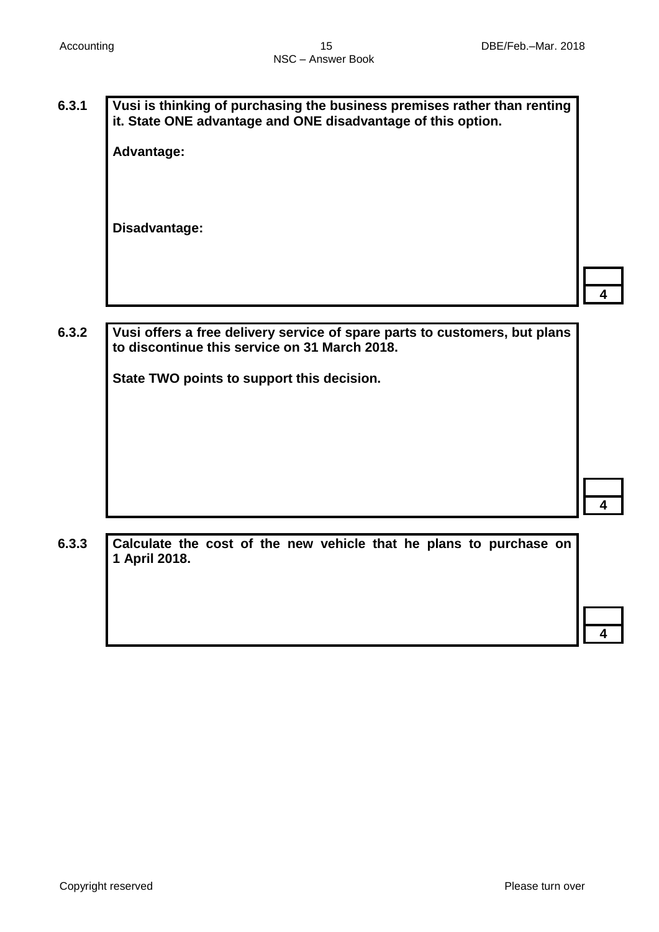**6.3.1 Vusi is thinking of purchasing the business premises rather than renting it. State ONE advantage and ONE disadvantage of this option.**

**Advantage:**

**Disadvantage:**

**4**

**6.3.2 Vusi offers a free delivery service of spare parts to customers, but plans to discontinue this service on 31 March 2018.** 

**State TWO points to support this decision.**

**4**

**6.3.3 Calculate the cost of the new vehicle that he plans to purchase on 1 April 2018.**